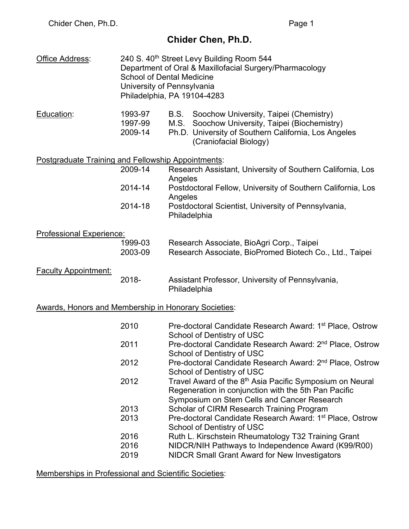# **Chider Chen, Ph.D.**

| Office Address:                                             |                               | 240 S. 40th Street Levy Building Room 544<br>Department of Oral & Maxillofacial Surgery/Pharmacology<br><b>School of Dental Medicine</b><br>University of Pennsylvania<br>Philadelphia, PA 19104-4283 |
|-------------------------------------------------------------|-------------------------------|-------------------------------------------------------------------------------------------------------------------------------------------------------------------------------------------------------|
| Education:                                                  | 1993-97<br>1997-99<br>2009-14 | Soochow University, Taipei (Chemistry)<br>B.S.<br>Soochow University, Taipei (Biochemistry)<br>M.S.<br>Ph.D. University of Southern California, Los Angeles<br>(Craniofacial Biology)                 |
| Postgraduate Training and Fellowship Appointments:          |                               |                                                                                                                                                                                                       |
|                                                             | 2009-14                       | Research Assistant, University of Southern California, Los                                                                                                                                            |
|                                                             | 2014-14                       | Angeles<br>Postdoctoral Fellow, University of Southern California, Los<br>Angeles                                                                                                                     |
|                                                             | 2014-18                       | Postdoctoral Scientist, University of Pennsylvania,<br>Philadelphia                                                                                                                                   |
| <b>Professional Experience:</b>                             |                               |                                                                                                                                                                                                       |
|                                                             | 1999-03<br>2003-09            | Research Associate, BioAgri Corp., Taipei<br>Research Associate, BioPromed Biotech Co., Ltd., Taipei                                                                                                  |
| <b>Faculty Appointment:</b>                                 | 2018-                         | Assistant Professor, University of Pennsylvania,<br>Philadelphia                                                                                                                                      |
| <b>Awards, Honors and Membership in Honorary Societies:</b> |                               |                                                                                                                                                                                                       |
|                                                             | 2010                          | Pre-doctoral Candidate Research Award: 1 <sup>st</sup> Place, Ostrow<br>School of Dentistry of USC                                                                                                    |
|                                                             | 2011                          | Pre-doctoral Candidate Research Award: 2 <sup>nd</sup> Place, Ostrow<br>School of Dentistry of USC                                                                                                    |
|                                                             | 2012                          | Pre-doctoral Candidate Research Award: 2 <sup>nd</sup> Place, Ostrow<br>School of Dentistry of USC                                                                                                    |
|                                                             | 2012                          | Travel Award of the 8 <sup>th</sup> Asia Pacific Symposium on Neural<br>Regeneration in conjunction with the 5th Pan Pacific<br>Symposium on Stem Cells and Cancer Research                           |
|                                                             | 2013                          | Scholar of CIRM Research Training Program                                                                                                                                                             |
|                                                             | 2013                          | Pre-doctoral Candidate Research Award: 1 <sup>st</sup> Place, Ostrow<br>School of Dentistry of USC                                                                                                    |
|                                                             | 2016                          | Ruth L. Kirschstein Rheumatology T32 Training Grant                                                                                                                                                   |
|                                                             | 2016<br>2019                  | NIDCR/NIH Pathways to Independence Award (K99/R00)<br><b>NIDCR Small Grant Award for New Investigators</b>                                                                                            |

Memberships in Professional and Scientific Societies: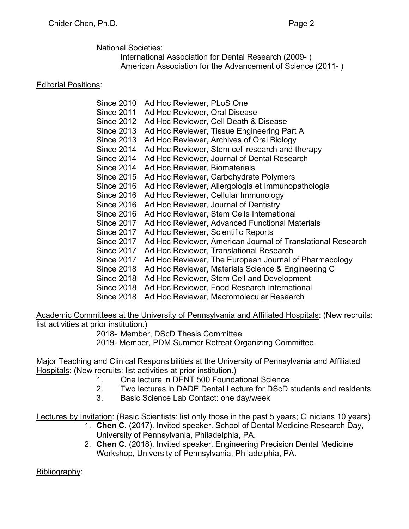National Societies:

International Association for Dental Research (2009- ) American Association for the Advancement of Science (2011- )

## Editorial Positions:

| <b>Since 2010</b> | Ad Hoc Reviewer, PLoS One                                   |
|-------------------|-------------------------------------------------------------|
| <b>Since 2011</b> | Ad Hoc Reviewer, Oral Disease                               |
| <b>Since 2012</b> | Ad Hoc Reviewer, Cell Death & Disease                       |
| <b>Since 2013</b> | Ad Hoc Reviewer, Tissue Engineering Part A                  |
| <b>Since 2013</b> | Ad Hoc Reviewer, Archives of Oral Biology                   |
| <b>Since 2014</b> | Ad Hoc Reviewer, Stem cell research and therapy             |
| <b>Since 2014</b> | Ad Hoc Reviewer, Journal of Dental Research                 |
| <b>Since 2014</b> | Ad Hoc Reviewer, Biomaterials                               |
| Since 2015        | Ad Hoc Reviewer, Carbohydrate Polymers                      |
| <b>Since 2016</b> | Ad Hoc Reviewer, Allergologia et Immunopathologia           |
| <b>Since 2016</b> | Ad Hoc Reviewer, Cellular Immunology                        |
| <b>Since 2016</b> | Ad Hoc Reviewer, Journal of Dentistry                       |
| Since 2016        | Ad Hoc Reviewer, Stem Cells International                   |
| Since 2017        | Ad Hoc Reviewer, Advanced Functional Materials              |
| <b>Since 2017</b> | Ad Hoc Reviewer, Scientific Reports                         |
| Since 2017        | Ad Hoc Reviewer, American Journal of Translational Research |
| <b>Since 2017</b> | Ad Hoc Reviewer, Translational Research                     |
| <b>Since 2017</b> | Ad Hoc Reviewer, The European Journal of Pharmacology       |
| <b>Since 2018</b> | Ad Hoc Reviewer, Materials Science & Engineering C          |
| <b>Since 2018</b> | Ad Hoc Reviewer, Stem Cell and Development                  |
| <b>Since 2018</b> | Ad Hoc Reviewer, Food Research International                |
| <b>Since 2018</b> | Ad Hoc Reviewer, Macromolecular Research                    |

Academic Committees at the University of Pennsylvania and Affiliated Hospitals: (New recruits: list activities at prior institution.)

2018- Member, DScD Thesis Committee

2019- Member, PDM Summer Retreat Organizing Committee

Major Teaching and Clinical Responsibilities at the University of Pennsylvania and Affiliated Hospitals: (New recruits: list activities at prior institution.)

- 1. One lecture in DENT 500 Foundational Science
- 2. Two lectures in DADE Dental Lecture for DScD students and residents
- 3. Basic Science Lab Contact: one day/week

Lectures by Invitation: (Basic Scientists: list only those in the past 5 years; Clinicians 10 years)

- 1. **Chen C**. (2017). Invited speaker. School of Dental Medicine Research Day, University of Pennsylvania, Philadelphia, PA.
- 2. **Chen C**. (2018). Invited speaker. Engineering Precision Dental Medicine Workshop, University of Pennsylvania, Philadelphia, PA.

Bibliography: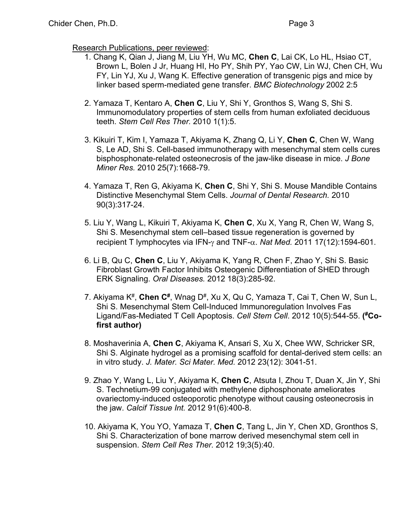#### Research Publications, peer reviewed:

- 1. Chang K, Qian J, Jiang M, Liu YH, Wu MC, **Chen C**, Lai CK, Lo HL, Hsiao CT, Brown L, Bolen J Jr, Huang HI, Ho PY, Shih PY, Yao CW, Lin WJ, Chen CH, Wu FY, Lin YJ, Xu J, Wang K. Effective generation of transgenic pigs and mice by linker based sperm-mediated gene transfer. *BMC Biotechnology* 2002 2:5
- 2. Yamaza T, Kentaro A, **Chen C**, Liu Y, Shi Y, Gronthos S, Wang S, Shi S. Immunomodulatory properties of stem cells from human exfoliated deciduous teeth. *Stem Cell Res Ther.* 2010 1(1):5.
- 3. Kikuiri T, Kim I, Yamaza T, Akiyama K, Zhang Q, Li Y, **Chen C**, Chen W, Wang S, Le AD, Shi S. Cell-based immunotherapy with mesenchymal stem cells cures bisphosphonate-related osteonecrosis of the jaw-like disease in mice. *J Bone Miner Res.* 2010 25(7):1668-79.
- 4. Yamaza T, Ren G, Akiyama K, **Chen C**, Shi Y, Shi S. Mouse Mandible Contains Distinctive Mesenchymal Stem Cells. *Journal of Dental Research.* 2010 90(3):317-24.
- 5. Liu Y, Wang L, Kikuiri T, Akiyama K, **Chen C**, Xu X, Yang R, Chen W, Wang S, Shi S. Mesenchymal stem cell–based tissue regeneration is governed by recipient T lymphocytes via IFN- $\gamma$  and TNF- $\alpha$ . *Nat Med.* 2011 17(12):1594-601.
- 6. Li B, Qu C, **Chen C**, Liu Y, Akiyama K, Yang R, Chen F, Zhao Y, Shi S. Basic Fibroblast Growth Factor Inhibits Osteogenic Differentiation of SHED through ERK Signaling. *Oral Diseases.* 2012 18(3):285-92.
- 7. Akiyama K<sup>#</sup>, Chen C<sup>#</sup>, Wnag D<sup>#</sup>, Xu X, Qu C, Yamaza T, Cai T, Chen W, Sun L, Shi S. Mesenchymal Stem Cell-Induced Immunoregulation Involves Fas Ligand/Fas-Mediated T Cell Apoptosis. *Cell Stem Cell*. 2012 10(5):544-55. **( #Cofirst author)**
- 8. Moshaverinia A, **Chen C**, Akiyama K, Ansari S, Xu X, Chee WW, Schricker SR, Shi S. Alginate hydrogel as a promising scaffold for dental-derived stem cells: an in vitro study. *J. Mater. Sci Mater. Med.* 2012 23(12): 3041-51.
- 9. Zhao Y, Wang L, Liu Y, Akiyama K, **Chen C**, Atsuta I, Zhou T, Duan X, Jin Y, Shi S. Technetium-99 conjugated with methylene diphosphonate ameliorates ovariectomy-induced osteoporotic phenotype without causing osteonecrosis in the jaw. *Calcif Tissue Int.* 2012 91(6):400-8.
- 10. Akiyama K, You YO, Yamaza T, **Chen C**, Tang L, Jin Y, Chen XD, Gronthos S, Shi S. Characterization of bone marrow derived mesenchymal stem cell in suspension. *Stem Cell Res Ther.* 2012 19;3(5):40.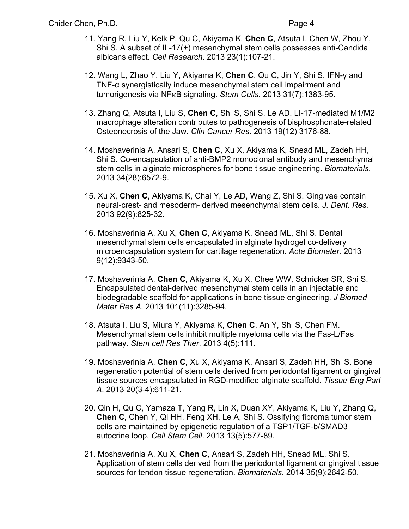- 11. Yang R, Liu Y, Kelk P, Qu C, Akiyama K, **Chen C**, Atsuta I, Chen W, Zhou Y, Shi S. A subset of IL-17(+) mesenchymal stem cells possesses anti-Candida albicans effect. *Cell Research*. 2013 23(1):107-21.
- 12. Wang L, Zhao Y, Liu Y, Akiyama K, **Chen C**, Qu C, Jin Y, Shi S. IFN-γ and TNF-α synergistically induce mesenchymal stem cell impairment and tumorigenesis via NFkB signaling. *Stem Cells*. 2013 31(7):1383-95.
- 13. Zhang Q, Atsuta I, Liu S, **Chen C**, Shi S, Shi S, Le AD. LI-17-mediated M1/M2 macrophage alteration contributes to pathogenesis of bisphosphonate-related Osteonecrosis of the Jaw. *Clin Cancer Res*. 2013 19(12) 3176-88.
- 14. Moshaverinia A, Ansari S, **Chen C**, Xu X, Akiyama K, Snead ML, Zadeh HH, Shi S. Co-encapsulation of anti-BMP2 monoclonal antibody and mesenchymal stem cells in alginate microspheres for bone tissue engineering. *Biomaterials*. 2013 34(28):6572-9.
- 15. Xu X, **Chen C**, Akiyama K, Chai Y, Le AD, Wang Z, Shi S. Gingivae contain neural-crest- and mesoderm- derived mesenchymal stem cells. *J. Dent. Res.* 2013 92(9):825-32.
- 16. Moshaverinia A, Xu X, **Chen C**, Akiyama K, Snead ML, Shi S. Dental mesenchymal stem cells encapsulated in alginate hydrogel co-delivery microencapsulation system for cartilage regeneration. *Acta Biomater.* 2013 9(12):9343-50.
- 17. Moshaverinia A, **Chen C**, Akiyama K, Xu X, Chee WW, Schricker SR, Shi S. Encapsulated dental-derived mesenchymal stem cells in an injectable and biodegradable scaffold for applications in bone tissue engineering. *J Biomed Mater Res A*. 2013 101(11):3285-94.
- 18. Atsuta I, Liu S, Miura Y, Akiyama K, **Chen C**, An Y, Shi S, Chen FM. Mesenchymal stem cells inhibit multiple myeloma cells via the Fas-L/Fas pathway. *Stem cell Res Ther*. 2013 4(5):111.
- 19. Moshaverinia A, **Chen C**, Xu X, Akiyama K, Ansari S, Zadeh HH, Shi S. Bone regeneration potential of stem cells derived from periodontal ligament or gingival tissue sources encapsulated in RGD-modified alginate scaffold. *Tissue Eng Part A*. 2013 20(3-4):611-21.
- 20. Qin H, Qu C, Yamaza T, Yang R, Lin X, Duan XY, Akiyama K, Liu Y, Zhang Q, **Chen C**, Chen Y, Qi HH, Feng XH, Le A, Shi S. Ossifying fibroma tumor stem cells are maintained by epigenetic regulation of a TSP1/TGF-b/SMAD3 autocrine loop. *Cell Stem Cell*. 2013 13(5):577-89.
- 21. Moshaverinia A, Xu X, **Chen C**, Ansari S, Zadeh HH, Snead ML, Shi S. Application of stem cells derived from the periodontal ligament or gingival tissue sources for tendon tissue regeneration. *Biomaterials*. 2014 35(9):2642-50.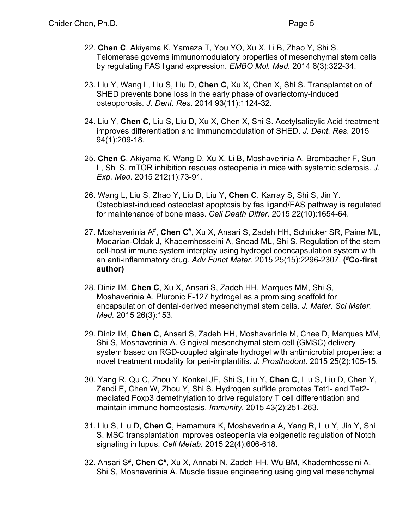- 22. **Chen C**, Akiyama K, Yamaza T, You YO, Xu X, Li B, Zhao Y, Shi S. Telomerase governs immunomodulatory properties of mesenchymal stem cells by regulating FAS ligand expression. *EMBO Mol. Med.* 2014 6(3):322-34.
- 23. Liu Y, Wang L, Liu S, Liu D, **Chen C**, Xu X, Chen X, Shi S. Transplantation of SHED prevents bone loss in the early phase of ovariectomy-induced osteoporosis. *J. Dent. Res*. 2014 93(11):1124-32.
- 24. Liu Y, **Chen C**, Liu S, Liu D, Xu X, Chen X, Shi S. Acetylsalicylic Acid treatment improves differentiation and immunomodulation of SHED. *J. Dent. Res*. 2015 94(1):209-18.
- 25. **Chen C**, Akiyama K, Wang D, Xu X, Li B, Moshaverinia A, Brombacher F, Sun L, Shi S. mTOR inhibition rescues osteopenia in mice with systemic sclerosis. *J. Exp. Med*. 2015 212(1):73-91.
- 26. Wang L, Liu S, Zhao Y, Liu D, Liu Y, **Chen C**, Karray S, Shi S, Jin Y. Osteoblast-induced osteoclast apoptosis by fas ligand/FAS pathway is regulated for maintenance of bone mass. *Cell Death Differ*. 2015 22(10):1654-64.
- 27. Moshaverinia A#, **Chen C**#, Xu X, Ansari S, Zadeh HH, Schricker SR, Paine ML, Modarian-Oldak J, Khademhosseini A, Snead ML, Shi S. Regulation of the stem cell-host immune system interplay using hydrogel coencapsulation system with an anti-inflammatory drug. *Adv Funct Mater*. 2015 25(15):2296-2307. **( #Co-first author)**
- 28. Diniz IM, **Chen C**, Xu X, Ansari S, Zadeh HH, Marques MM, Shi S, Moshaverinia A. Pluronic F-127 hydrogel as a promising scaffold for encapsulation of dental-derived mesenchymal stem cells. *J. Mater. Sci Mater. Med.* 2015 26(3):153.
- 29. Diniz IM, **Chen C**, Ansari S, Zadeh HH, Moshaverinia M, Chee D, Marques MM, Shi S, Moshaverinia A. Gingival mesenchymal stem cell (GMSC) delivery system based on RGD-coupled alginate hydrogel with antimicrobial properties: a novel treatment modality for peri-implantitis. *J. Prosthodont*. 2015 25(2):105-15.
- 30. Yang R, Qu C, Zhou Y, Konkel JE, Shi S, Liu Y, **Chen C**, Liu S, Liu D, Chen Y, Zandi E, Chen W, Zhou Y, Shi S. Hydrogen sulfide promotes Tet1- and Tet2 mediated Foxp3 demethylation to drive regulatory T cell differentiation and maintain immune homeostasis. *Immunity*. 2015 43(2):251-263.
- 31. Liu S, Liu D, **Chen C**, Hamamura K, Moshaverinia A, Yang R, Liu Y, Jin Y, Shi S. MSC transplantation improves osteopenia via epigenetic regulation of Notch signaling in lupus. *Cell Metab*. 2015 22(4):606-618.
- 32. Ansari S#, **Chen C**#, Xu X, Annabi N, Zadeh HH, Wu BM, Khademhosseini A, Shi S, Moshaverinia A. Muscle tissue engineering using gingival mesenchymal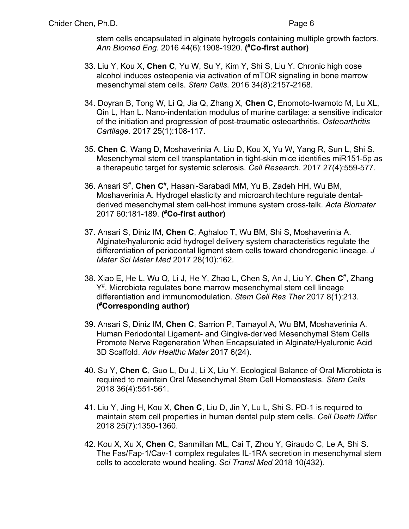stem cells encapsulated in alginate hytrogels containing multiple growth factors. *Ann Biomed Eng*. 2016 44(6):1908-1920. **( #Co-first author)**

- 33. Liu Y, Kou X, **Chen C**, Yu W, Su Y, Kim Y, Shi S, Liu Y. Chronic high dose alcohol induces osteopenia via activation of mTOR signaling in bone marrow mesenchymal stem cells. *Stem Cells*. 2016 34(8):2157-2168.
- 34. Doyran B, Tong W, Li Q, Jia Q, Zhang X, **Chen C**, Enomoto-Iwamoto M, Lu XL, Qin L, Han L. Nano-indentation modulus of murine cartilage: a sensitive indicator of the initiation and progression of post-traumatic osteoarthritis. *Osteoarthritis Cartilage*. 2017 25(1):108-117.
- 35. **Chen C**, Wang D, Moshaverinia A, Liu D, Kou X, Yu W, Yang R, Sun L, Shi S. Mesenchymal stem cell transplantation in tight-skin mice identifies miR151-5p as a therapeutic target for systemic sclerosis. *Cell Research*. 2017 27(4):559-577.
- 36. Ansari S#, **Chen C**#, Hasani-Sarabadi MM, Yu B, Zadeh HH, Wu BM, Moshaverinia A. Hydrogel elasticity and microarchitechture regulate dentalderived mesenchymal stem cell-host immune system cross-talk. *Acta Biomater* 2017 60:181-189. **( #Co-first author)**
- 37. Ansari S, Diniz IM, **Chen C**, Aghaloo T, Wu BM, Shi S, Moshaverinia A. Alginate/hyaluronic acid hydrogel delivery system characteristics regulate the differentiation of periodontal ligment stem cells toward chondrogenic lineage. *J Mater Sci Mater Med* 2017 28(10):162.
- 38. Xiao E, He L, Wu Q, Li J, He Y, Zhao L, Chen S, An J, Liu Y, **Chen C**#, Zhang Y<sup>#</sup>. Microbiota regulates bone marrow mesenchymal stem cell lineage differentiation and immunomodulation. *Stem Cell Res Ther* 2017 8(1):213. **( #Corresponding author)**
- 39. Ansari S, Diniz IM, **Chen C**, Sarrion P, Tamayol A, Wu BM, Moshaverinia A. Human Periodontal Ligament- and Gingiva-derived Mesenchymal Stem Cells Promote Nerve Regeneration When Encapsulated in Alginate/Hyaluronic Acid 3D Scaffold. *Adv Healthc Mater* 2017 6(24).
- 40. Su Y, **Chen C**, Guo L, Du J, Li X, Liu Y. Ecological Balance of Oral Microbiota is required to maintain Oral Mesenchymal Stem Cell Homeostasis. *Stem Cells* 2018 36(4):551-561.
- 41. Liu Y, Jing H, Kou X, **Chen C**, Liu D, Jin Y, Lu L, Shi S. PD-1 is required to maintain stem cell properties in human dental pulp stem cells. *Cell Death Differ* 2018 25(7):1350-1360.
- 42. Kou X, Xu X, **Chen C**, Sanmillan ML, Cai T, Zhou Y, Giraudo C, Le A, Shi S. The Fas/Fap-1/Cav-1 complex regulates IL-1RA secretion in mesenchymal stem cells to accelerate wound healing. *Sci Transl Med* 2018 10(432).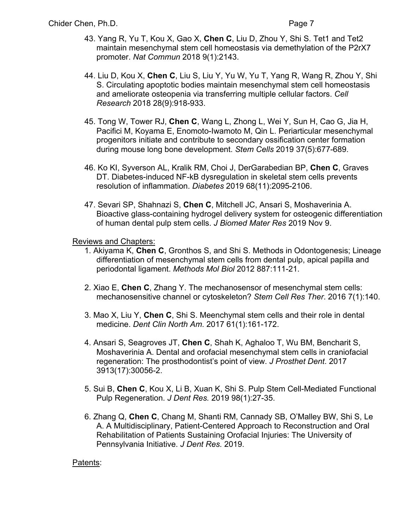- 43. Yang R, Yu T, Kou X, Gao X, **Chen C**, Liu D, Zhou Y, Shi S. Tet1 and Tet2 maintain mesenchymal stem cell homeostasis via demethylation of the P2rX7 promoter. *Nat Commun* 2018 9(1):2143.
- 44. Liu D, Kou X, **Chen C**, Liu S, Liu Y, Yu W, Yu T, Yang R, Wang R, Zhou Y, Shi S. Circulating apoptotic bodies maintain mesenchymal stem cell homeostasis and ameliorate osteopenia via transferring multiple cellular factors. *Cell Research* 2018 28(9):918-933.
- 45. Tong W, Tower RJ, **Chen C**, Wang L, Zhong L, Wei Y, Sun H, Cao G, Jia H, Pacifici M, Koyama E, Enomoto-Iwamoto M, Qin L. Periarticular mesenchymal progenitors initiate and contribute to secondary ossification center formation during mouse long bone development. *Stem Cells* 2019 37(5):677-689.
- 46. Ko KI, Syverson AL, Kralik RM, Choi J, DerGarabedian BP, **Chen C**, Graves DT. Diabetes-induced NF-kB dysregulation in skeletal stem cells prevents resolution of inflammation. *Diabetes* 2019 68(11):2095-2106.
- 47. Sevari SP, Shahnazi S, **Chen C**, Mitchell JC, Ansari S, Moshaverinia A. Bioactive glass-containing hydrogel delivery system for osteogenic differentiation of human dental pulp stem cells. *J Biomed Mater Res* 2019 Nov 9.

Reviews and Chapters:

- 1. Akiyama K, **Chen C**, Gronthos S, and Shi S. Methods in Odontogenesis; Lineage differentiation of mesenchymal stem cells from dental pulp, apical papilla and periodontal ligament. *Methods Mol Biol* 2012 887:111-21.
- 2. Xiao E, **Chen C**, Zhang Y. The mechanosensor of mesenchymal stem cells: mechanosensitive channel or cytoskeleton? *Stem Cell Res Ther*. 2016 7(1):140.
- 3. Mao X, Liu Y, **Chen C**, Shi S. Meenchymal stem cells and their role in dental medicine. *Dent Clin North Am*. 2017 61(1):161-172.
- 4. Ansari S, Seagroves JT, **Chen C**, Shah K, Aghaloo T, Wu BM, Bencharit S, Moshaverinia A. Dental and orofacial mesenchymal stem cells in craniofacial regeneration: The prosthodontist's point of view. *J Prosthet Dent*. 2017 3913(17):30056-2.
- 5. Sui B, **Chen C**, Kou X, Li B, Xuan K, Shi S. Pulp Stem Cell-Mediated Functional Pulp Regeneration. *J Dent Res.* 2019 98(1):27-35.
- 6. Zhang Q, **Chen C**, Chang M, Shanti RM, Cannady SB, O'Malley BW, Shi S, Le A. A Multidisciplinary, Patient-Centered Approach to Reconstruction and Oral Rehabilitation of Patients Sustaining Orofacial Injuries: The University of Pennsylvania Initiative. *J Dent Res.* 2019.

### Patents: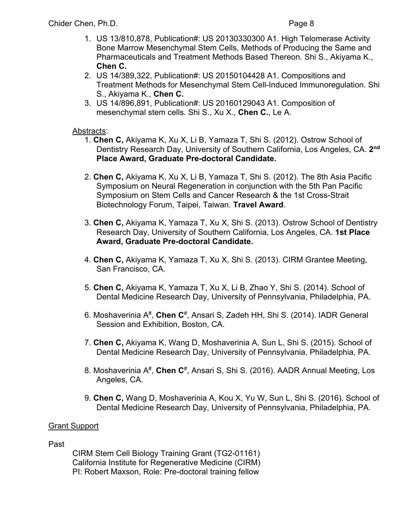- 1. US 13/810,878, Publication#: US 20130330300 A1. High Telomerase Activity Bone Marrow Mesenchymal Stem Cells, Methods of Producing the Same and Pharmaceuticals and Treatment Methods Based Thereon. Shi S., Akiyama K., **Chen C.**
- 2. US 14/389,322, Publication#: US 20150104428 A1. Compositions and Treatment Methods for Mesenchymal Stem Cell-Induced Immunoregulation. Shi S., Akiyama K., **Chen C.**
- 3. US 14/896,891, Publication#: US 20160129043 A1. Composition of mesenchymal stem cells. Shi S., Xu X., **Chen C.**, Le A.

### Abstracts:

- 1. **Chen C,** Akiyama K, Xu X, Li B, Yamaza T, Shi S. (2012). Ostrow School of Dentistry Research Day, University of Southern California, Los Angeles, CA. **2nd Place Award, Graduate Pre-doctoral Candidate.**
- 2. **Chen C,** Akiyama K, Xu X, Li B, Yamaza T, Shi S. (2012). The 8th Asia Pacific Symposium on Neural Regeneration in conjunction with the 5th Pan Pacific Symposium on Stem Cells and Cancer Research & the 1st Cross-Strait Biotechnology Forum, Taipei, Taiwan. **Travel Award**.
- 3. **Chen C,** Akiyama K, Yamaza T, Xu X, Shi S. (2013). Ostrow School of Dentistry Research Day, University of Southern California, Los Angeles, CA. **1st Place Award, Graduate Pre-doctoral Candidate.**
- 4. **Chen C,** Akiyama K, Yamaza T, Xu X, Shi S. (2013). CIRM Grantee Meeting, San Francisco, CA.
- 5. **Chen C,** Akiyama K, Yamaza T, Xu X, Li B, Zhao Y, Shi S. (2014). School of Dental Medicine Research Day, University of Pennsylvania, Philadelphia, PA.
- 6. Moshaverinia A#, **Chen C**#, Ansari S, Zadeh HH, Shi S. (2014). IADR General Session and Exhibition, Boston, CA.
- 7. **Chen C,** Akiyama K, Wang D, Moshaverinia A, Sun L, Shi S. (2015). School of Dental Medicine Research Day, University of Pennsylvania, Philadelphia, PA.
- 8. Moshaverinia A#, **Chen C**#, Ansari S, Shi S. (2016). AADR Annual Meeting, Los Angeles, CA.
- 9. **Chen C,** Wang D, Moshaverinia A, Kou X, Yu W, Sun L, Shi S. (2016). School of Dental Medicine Research Day, University of Pennsylvania, Philadelphia, PA.

### Grant Support

#### Past

CIRM Stem Cell Biology Training Grant (TG2-01161) California Institute for Regenerative Medicine (CIRM) PI: Robert Maxson, Role: Pre-doctoral training fellow